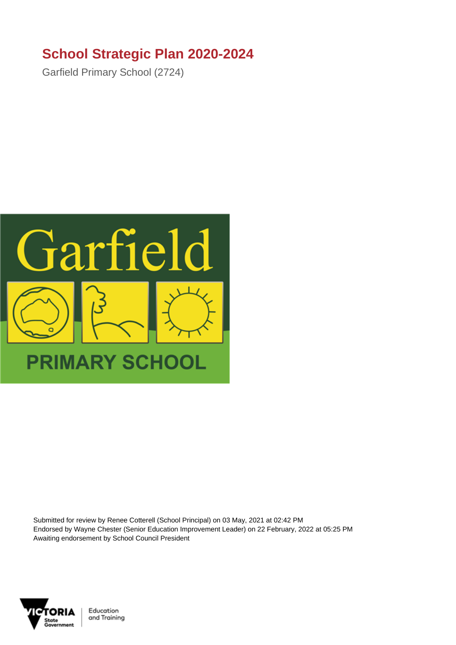## **School Strategic Plan 2020-2024**

Garfield Primary School (2724)



Submitted for review by Renee Cotterell (School Principal) on 03 May, 2021 at 02:42 PM Endorsed by Wayne Chester (Senior Education Improvement Leader) on 22 February, 2022 at 05:25 PM Awaiting endorsement by School Council President



Education and Training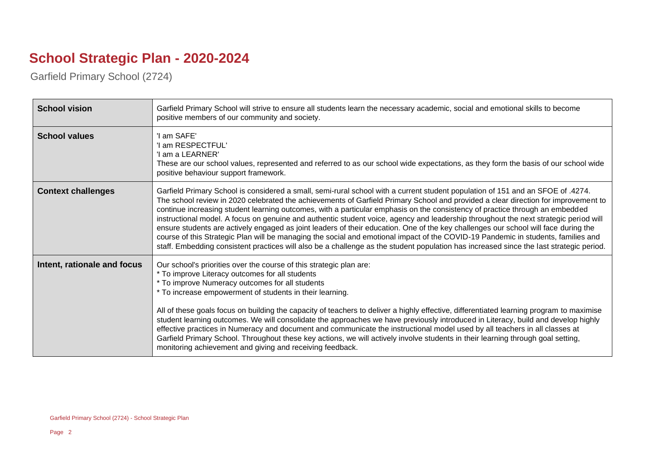## **School Strategic Plan - 2020-2024**

Garfield Primary School (2724)

| <b>School vision</b>        | Garfield Primary School will strive to ensure all students learn the necessary academic, social and emotional skills to become<br>positive members of our community and society.                                                                                                                                                                                                                                                                                                                                                                                                                                                                                                                                                                                                                                                                                                                                                                                     |
|-----------------------------|----------------------------------------------------------------------------------------------------------------------------------------------------------------------------------------------------------------------------------------------------------------------------------------------------------------------------------------------------------------------------------------------------------------------------------------------------------------------------------------------------------------------------------------------------------------------------------------------------------------------------------------------------------------------------------------------------------------------------------------------------------------------------------------------------------------------------------------------------------------------------------------------------------------------------------------------------------------------|
| <b>School values</b>        | 'I am SAFE'<br>'I am RESPECTFUL'<br>'I am a LEARNER'<br>These are our school values, represented and referred to as our school wide expectations, as they form the basis of our school wide<br>positive behaviour support framework.                                                                                                                                                                                                                                                                                                                                                                                                                                                                                                                                                                                                                                                                                                                                 |
| <b>Context challenges</b>   | Garfield Primary School is considered a small, semi-rural school with a current student population of 151 and an SFOE of .4274.<br>The school review in 2020 celebrated the achievements of Garfield Primary School and provided a clear direction for improvement to<br>continue increasing student learning outcomes, with a particular emphasis on the consistency of practice through an embedded<br>instructional model. A focus on genuine and authentic student voice, agency and leadership throughout the next strategic period will<br>ensure students are actively engaged as joint leaders of their education. One of the key challenges our school will face during the<br>course of this Strategic Plan will be managing the social and emotional impact of the COVID-19 Pandemic in students, families and<br>staff. Embedding consistent practices will also be a challenge as the student population has increased since the last strategic period. |
| Intent, rationale and focus | Our school's priorities over the course of this strategic plan are:<br>* To improve Literacy outcomes for all students<br>* To improve Numeracy outcomes for all students<br>* To increase empowerment of students in their learning.<br>All of these goals focus on building the capacity of teachers to deliver a highly effective, differentiated learning program to maximise<br>student learning outcomes. We will consolidate the approaches we have previously introduced in Literacy, build and develop highly<br>effective practices in Numeracy and document and communicate the instructional model used by all teachers in all classes at<br>Garfield Primary School. Throughout these key actions, we will actively involve students in their learning through goal setting,<br>monitoring achievement and giving and receiving feedback.                                                                                                               |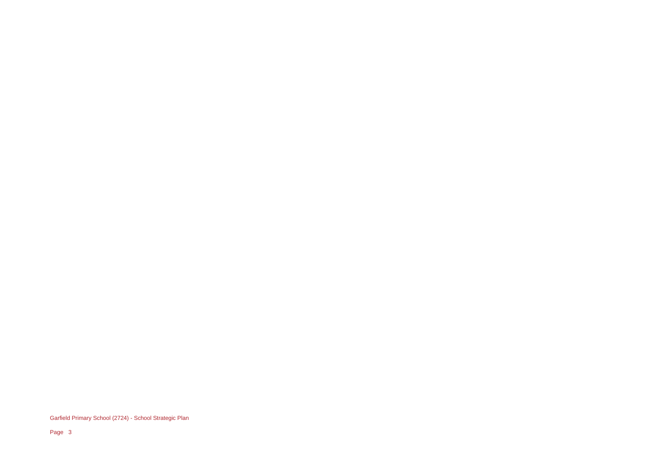Garfield Primary School (2724) - School Strategic Plan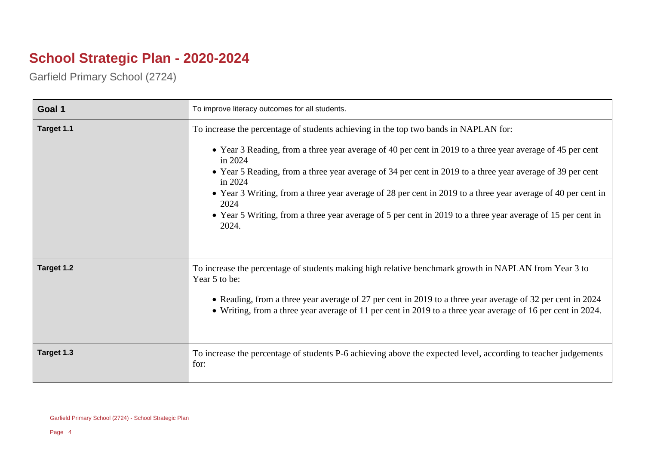## **School Strategic Plan - 2020-2024**

Garfield Primary School (2724)

| Goal 1     | To improve literacy outcomes for all students.                                                                                                                                                                                                                                                                                                                                                                                                                                                                                                                                       |
|------------|--------------------------------------------------------------------------------------------------------------------------------------------------------------------------------------------------------------------------------------------------------------------------------------------------------------------------------------------------------------------------------------------------------------------------------------------------------------------------------------------------------------------------------------------------------------------------------------|
| Target 1.1 | To increase the percentage of students achieving in the top two bands in NAPLAN for:<br>• Year 3 Reading, from a three year average of 40 per cent in 2019 to a three year average of 45 per cent<br>in 2024<br>• Year 5 Reading, from a three year average of 34 per cent in 2019 to a three year average of 39 per cent<br>in 2024<br>• Year 3 Writing, from a three year average of 28 per cent in 2019 to a three year average of 40 per cent in<br>2024<br>• Year 5 Writing, from a three year average of 5 per cent in 2019 to a three year average of 15 per cent in<br>2024. |
| Target 1.2 | To increase the percentage of students making high relative benchmark growth in NAPLAN from Year 3 to<br>Year 5 to be:<br>• Reading, from a three year average of 27 per cent in 2019 to a three year average of 32 per cent in 2024<br>• Writing, from a three year average of 11 per cent in 2019 to a three year average of 16 per cent in 2024.                                                                                                                                                                                                                                  |
| Target 1.3 | To increase the percentage of students P-6 achieving above the expected level, according to teacher judgements<br>for:                                                                                                                                                                                                                                                                                                                                                                                                                                                               |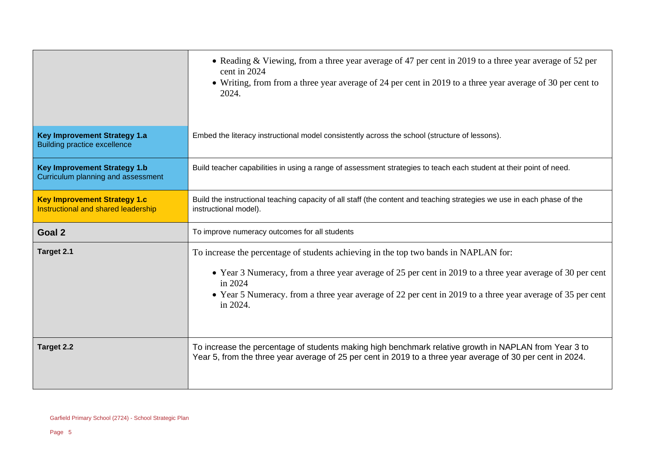|                                                                            | • Reading & Viewing, from a three year average of 47 per cent in 2019 to a three year average of 52 per<br>cent in 2024<br>• Writing, from from a three year average of 24 per cent in 2019 to a three year average of 30 per cent to<br>2024.                                                                                          |
|----------------------------------------------------------------------------|-----------------------------------------------------------------------------------------------------------------------------------------------------------------------------------------------------------------------------------------------------------------------------------------------------------------------------------------|
| <b>Key Improvement Strategy 1.a</b><br><b>Building practice excellence</b> | Embed the literacy instructional model consistently across the school (structure of lessons).                                                                                                                                                                                                                                           |
| <b>Key Improvement Strategy 1.b</b><br>Curriculum planning and assessment  | Build teacher capabilities in using a range of assessment strategies to teach each student at their point of need.                                                                                                                                                                                                                      |
| <b>Key Improvement Strategy 1.c</b><br>Instructional and shared leadership | Build the instructional teaching capacity of all staff (the content and teaching strategies we use in each phase of the<br>instructional model).                                                                                                                                                                                        |
|                                                                            |                                                                                                                                                                                                                                                                                                                                         |
| Goal 2                                                                     | To improve numeracy outcomes for all students                                                                                                                                                                                                                                                                                           |
| Target 2.1                                                                 | To increase the percentage of students achieving in the top two bands in NAPLAN for:<br>• Year 3 Numeracy, from a three year average of 25 per cent in 2019 to a three year average of 30 per cent<br>in 2024<br>• Year 5 Numeracy. from a three year average of 22 per cent in 2019 to a three year average of 35 per cent<br>in 2024. |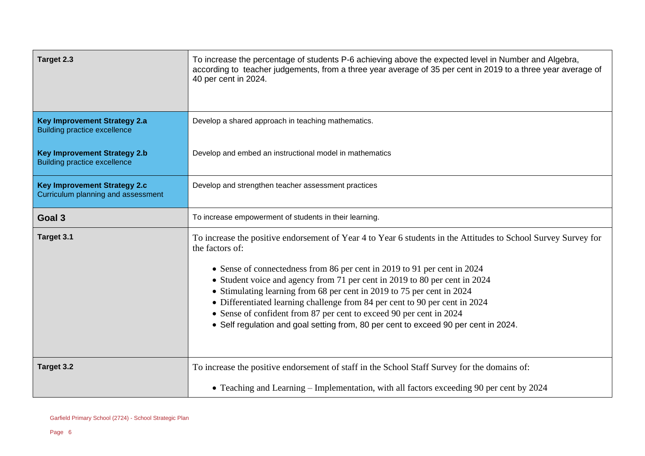| Target 2.3                                                                 | To increase the percentage of students P-6 achieving above the expected level in Number and Algebra,<br>according to teacher judgements, from a three year average of 35 per cent in 2019 to a three year average of<br>40 per cent in 2024.                                                                                                                                                                                                                                                                                                                                                                       |
|----------------------------------------------------------------------------|--------------------------------------------------------------------------------------------------------------------------------------------------------------------------------------------------------------------------------------------------------------------------------------------------------------------------------------------------------------------------------------------------------------------------------------------------------------------------------------------------------------------------------------------------------------------------------------------------------------------|
| <b>Key Improvement Strategy 2.a</b><br><b>Building practice excellence</b> | Develop a shared approach in teaching mathematics.                                                                                                                                                                                                                                                                                                                                                                                                                                                                                                                                                                 |
| <b>Key Improvement Strategy 2.b</b><br><b>Building practice excellence</b> | Develop and embed an instructional model in mathematics                                                                                                                                                                                                                                                                                                                                                                                                                                                                                                                                                            |
| <b>Key Improvement Strategy 2.c</b><br>Curriculum planning and assessment  | Develop and strengthen teacher assessment practices                                                                                                                                                                                                                                                                                                                                                                                                                                                                                                                                                                |
| Goal 3                                                                     | To increase empowerment of students in their learning.                                                                                                                                                                                                                                                                                                                                                                                                                                                                                                                                                             |
| Target 3.1                                                                 | To increase the positive endorsement of Year 4 to Year 6 students in the Attitudes to School Survey Survey for<br>the factors of:<br>• Sense of connectedness from 86 per cent in 2019 to 91 per cent in 2024<br>• Student voice and agency from 71 per cent in 2019 to 80 per cent in 2024<br>• Stimulating learning from 68 per cent in 2019 to 75 per cent in 2024<br>• Differentiated learning challenge from 84 per cent to 90 per cent in 2024<br>• Sense of confident from 87 per cent to exceed 90 per cent in 2024<br>• Self regulation and goal setting from, 80 per cent to exceed 90 per cent in 2024. |
| Target 3.2                                                                 | To increase the positive endorsement of staff in the School Staff Survey for the domains of:                                                                                                                                                                                                                                                                                                                                                                                                                                                                                                                       |
|                                                                            | • Teaching and Learning – Implementation, with all factors exceeding 90 per cent by 2024                                                                                                                                                                                                                                                                                                                                                                                                                                                                                                                           |